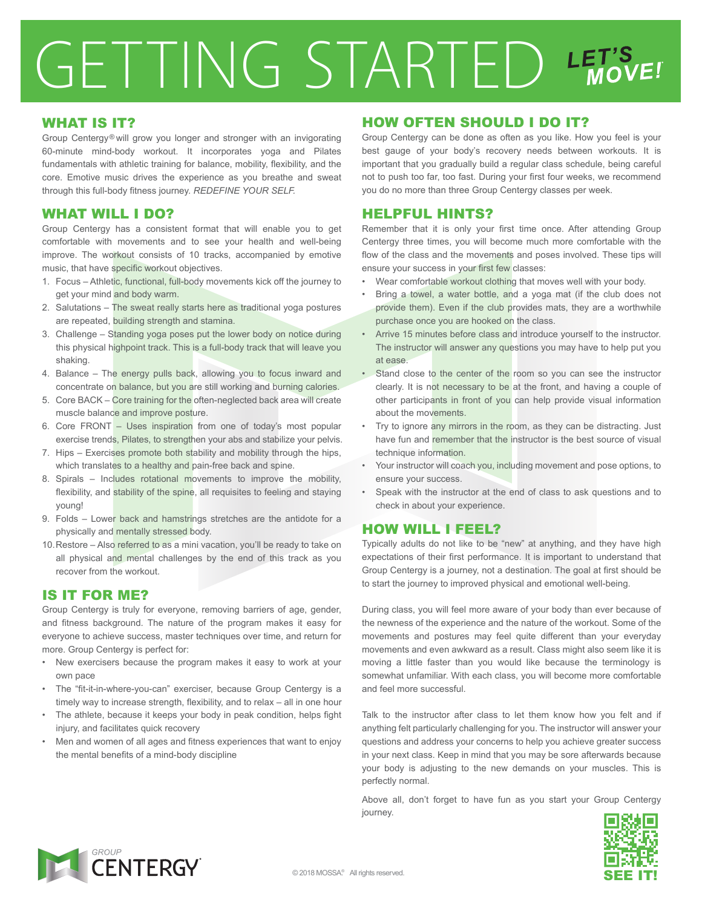## GETTING STARTED LET'S

### WHAT IS IT?

Group Centergy® will grow you longer and stronger with an invigorating 60-minute mind-body workout. It incorporates yoga and Pilates fundamentals with athletic training for balance, mobility, flexibility, and the core. Emotive music drives the experience as you breathe and sweat through this full-body fitness journey. *REDEFINE YOUR SELF.*

## WHAT WILL I DO?

Group Centergy has a consistent format that will enable you to get comfortable with movements and to see your health and well-being improve. The workout consists of 10 tracks, accompanied by emotive music, that have specific workout objectives.

- 1. Focus Athletic, functional, full-body movements kick off the journey to get your mind and body warm.
- 2. Salutations The sweat really starts here as traditional yoga postures are repeated, building strength and stamina.
- 3. Challenge Standing yoga poses put the lower body on notice during this physical highpoint track. This is a full-body track that will leave you shaking.
- 4. Balance The energy pulls back, allowing you to focus inward and concentrate on balance, but you are still working and burning calories.
- 5. Core BACK Core training for the often-neglected back area will create muscle balance and improve posture.
- 6. Core FRONT Uses inspiration from one of today's most popular exercise trends, Pilates, to strengthen your abs and stabilize your pelvis.
- 7. Hips Exercises promote both stability and mobility through the hips, which translates to a healthy and pain-free back and spine.
- 8. Spirals Includes rotational movements to improve the mobility, flexibility, and stability of the spine, all requisites to feeling and staying young!
- 9. Folds Lower back and hamstrings stretches are the antidote for a physically and mentally stressed body.
- 10. Restore Also referred to as a mini vacation, you'll be ready to take on all physical and mental challenges by the end of this track as you recover from the workout.

### IS IT FOR ME?

Group Centergy is truly for everyone, removing barriers of age, gender, and fitness background. The nature of the program makes it easy for everyone to achieve success, master techniques over time, and return for more. Group Centergy is perfect for:

- New exercisers because the program makes it easy to work at your own pace
- The "fit-it-in-where-you-can" exerciser, because Group Centergy is a timely way to increase strength, flexibility, and to relax – all in one hour
- The athlete, because it keeps your body in peak condition, helps fight injury, and facilitates quick recovery
- Men and women of all ages and fitness experiences that want to enjoy the mental benefits of a mind-body discipline

### HOW OFTEN SHOULD I DO IT?

Group Centergy can be done as often as you like. How you feel is your best gauge of your body's recovery needs between workouts. It is important that you gradually build a regular class schedule, being careful not to push too far, too fast. During your first four weeks, we recommend you do no more than three Group Centergy classes per week.

### HELPFUL HINTS?

Remember that it is only your first time once. After attending Group Centergy three times, you will become much more comfortable with the flow of the class and the movements and poses involved. These tips will ensure your success in your first few classes:

- Wear comfortable workout clothing that moves well with your body.
- Bring a towel, a water bottle, and a yoga mat (if the club does not provide them). Even if the club provides mats, they are a worthwhile purchase once you are hooked on the class.
- Arrive 15 minutes before class and introduce yourself to the instructor. The instructor will answer any questions you may have to help put you at ease.
- Stand close to the center of the room so you can see the instructor clearly. It is not necessary to be at the front, and having a couple of other participants in front of you can help provide visual information about the movements.
- Try to ignore any mirrors in the room, as they can be distracting. Just have fun and remember that the instructor is the best source of visual technique information.
- Your instructor will coach you, including movement and pose options, to ensure your success.
- Speak with the instructor at the end of class to ask questions and to check in about your experience.

### HOW WILL I FEEL?

Typically adults do not like to be "new" at anything, and they have high expectations of their first performance. It is important to understand that Group Centergy is a journey, not a destination. The goal at first should be to start the journey to improved physical and emotional well-being.

During class, you will feel more aware of your body than ever because of the newness of the experience and the nature of the workout. Some of the movements and postures may feel quite different than your everyday movements and even awkward as a result. Class might also seem like it is moving a little faster than you would like because the terminology is somewhat unfamiliar. With each class, you will become more comfortable and feel more successful.

Talk to the instructor after class to let them know how you felt and if anything felt particularly challenging for you. The instructor will answer your questions and address your concerns to help you achieve greater success in your next class. Keep in mind that you may be sore afterwards because your body is adjusting to the new demands on your muscles. This is perfectly normal.

Above all, don't forget to have fun as you start your Group Centergy journey.